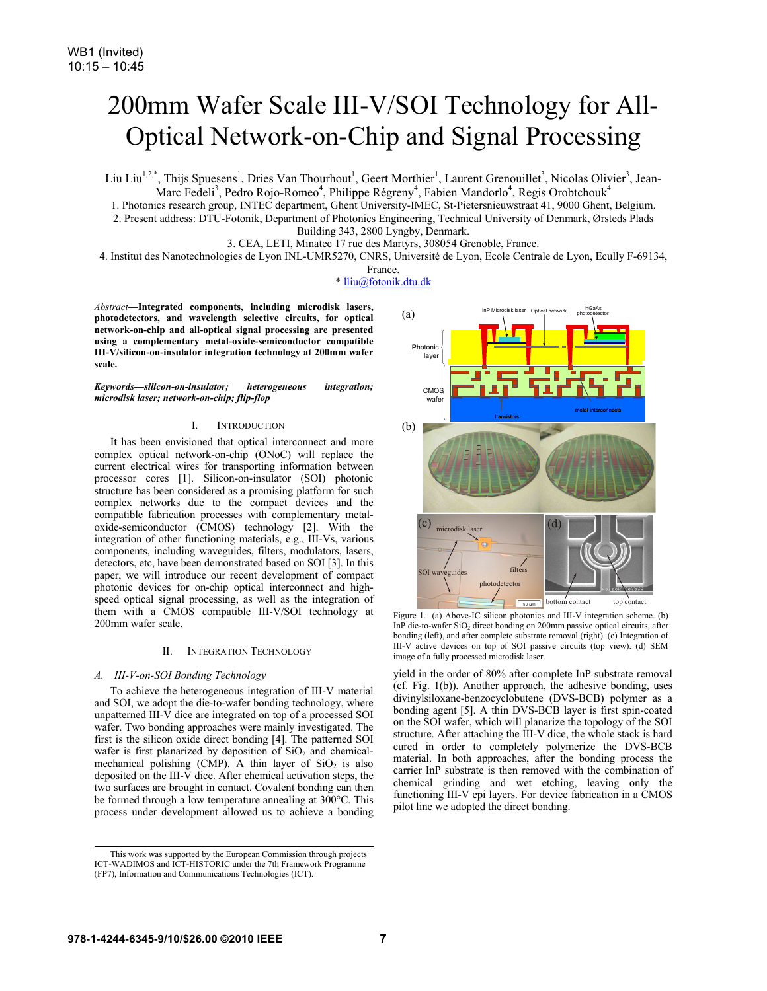# 200mm Wafer Scale III-V/SOI Technology for All-Optical Network-on-Chip and Signal Processing

Liu Liu<sup>1,2,\*</sup>, Thijs Spuesens<sup>1</sup>, Dries Van Thourhout<sup>1</sup>, Geert Morthier<sup>1</sup>, Laurent Grenouillet<sup>3</sup>, Nicolas Olivier<sup>3</sup>, Jean-Marc Fedeli<sup>3</sup>, Pedro Rojo-Romeo<sup>4</sup>, Philippe Régreny<sup>4</sup>, Fabien Mandorlo<sup>4</sup>, Regis Orobtchouk<sup>4</sup>

1. Photonics research group, INTEC department, Ghent University-IMEC, St-Pietersnieuwstraat 41, 9000 Ghent, Belgium.

2. Present address: DTU-Fotonik, Department of Photonics Engineering, Technical University of Denmark, Ørsteds Plads Building 343, 2800 Lyngby, Denmark.

3. CEA, LETI, Minatec 17 rue des Martyrs, 308054 Grenoble, France.

4. Institut des Nanotechnologies de Lyon INL-UMR5270, CNRS, Université de Lyon, Ecole Centrale de Lyon, Ecully F-69134,

France.

\* lliu@fotonik.dtu.dk

*Abstract***—Integrated components, including microdisk lasers, photodetectors, and wavelength selective circuits, for optical network-on-chip and all-optical signal processing are presented using a complementary metal-oxide-semiconductor compatible III-V/silicon-on-insulator integration technology at 200mm wafer scale.**

*Keywords—silicon-on-insulator; heterogeneous integration; microdisk laser; network-on-chip; flip-flop* 

## I. INTRODUCTION

It has been envisioned that optical interconnect and more complex optical network-on-chip (ONoC) will replace the current electrical wires for transporting information between processor cores [1]. Silicon-on-insulator (SOI) photonic structure has been considered as a promising platform for such complex networks due to the compact devices and the compatible fabrication processes with complementary metaloxide-semiconductor (CMOS) technology [2]. With the integration of other functioning materials, e.g., III-Vs, various components, including waveguides, filters, modulators, lasers, detectors, etc, have been demonstrated based on SOI [3]. In this paper, we will introduce our recent development of compact photonic devices for on-chip optical interconnect and highspeed optical signal processing, as well as the integration of them with a CMOS compatible III-V/SOI technology at 200mm wafer scale.

#### II. INTEGRATION TECHNOLOGY

## *A. III-V-on-SOI Bonding Technology*

To achieve the heterogeneous integration of III-V material and SOI, we adopt the die-to-wafer bonding technology, where unpatterned III-V dice are integrated on top of a processed SOI wafer. Two bonding approaches were mainly investigated. The first is the silicon oxide direct bonding [4]. The patterned SOI wafer is first planarized by deposition of  $SiO<sub>2</sub>$  and chemicalmechanical polishing (CMP). A thin layer of  $SiO<sub>2</sub>$  is also deposited on the III-V dice. After chemical activation steps, the two surfaces are brought in contact. Covalent bonding can then be formed through a low temperature annealing at 300°C. This process under development allowed us to achieve a bonding



Figure 1. (a) Above-IC silicon photonics and III-V integration scheme. (b) InP die-to-wafer SiO<sub>2</sub> direct bonding on 200mm passive optical circuits, after bonding (left), and after complete substrate removal (right). (c) Integration of III-V active devices on top of SOI passive circuits (top view). (d) SEM image of a fully processed microdisk laser.

yield in the order of 80% after complete InP substrate removal (cf. Fig. 1(b)). Another approach, the adhesive bonding, uses divinylsiloxane-benzocyclobutene (DVS-BCB) polymer as a bonding agent [5]. A thin DVS-BCB layer is first spin-coated on the SOI wafer, which will planarize the topology of the SOI structure. After attaching the III-V dice, the whole stack is hard cured in order to completely polymerize the DVS-BCB material. In both approaches, after the bonding process the carrier InP substrate is then removed with the combination of chemical grinding and wet etching, leaving only the functioning III-V epi layers. For device fabrication in a CMOS pilot line we adopted the direct bonding.

This work was supported by the European Commission through projects

ICT-WADIMOS and ICT-HISTORIC under the 7th Framework Programme (FP7), Information and Communications Technologies (ICT).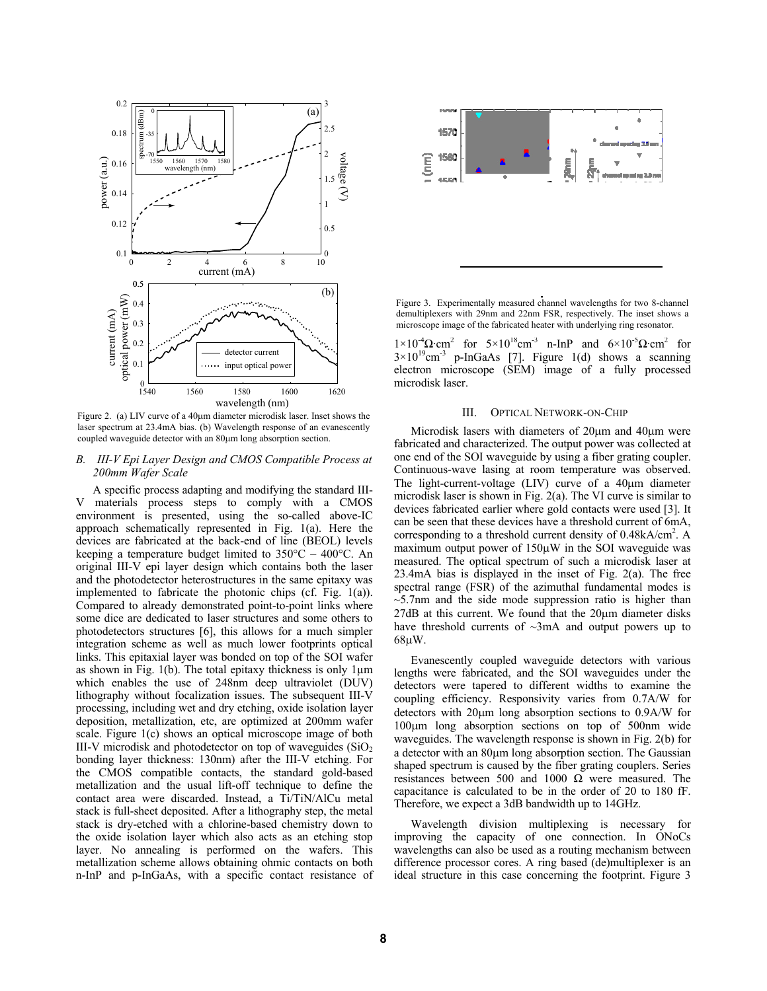

Figure 2. (a) LIV curve of a  $40\mu$ m diameter microdisk laser. Inset shows the laser spectrum at 23.4mA bias. (b) Wavelength response of an evanescently coupled waveguide detector with an  $80\mu$ m long absorption section.

## *B. III-V Epi Layer Design and CMOS Compatible Process at 200mm Wafer Scale*

A specific process adapting and modifying the standard III-V materials process steps to comply with a CMOS environment is presented, using the so-called above-IC approach schematically represented in Fig. 1(a). Here the devices are fabricated at the back-end of line (BEOL) levels keeping a temperature budget limited to  $350^{\circ}$ C –  $400^{\circ}$ C. An original III-V epi layer design which contains both the laser and the photodetector heterostructures in the same epitaxy was implemented to fabricate the photonic chips (cf. Fig. 1(a)). Compared to already demonstrated point-to-point links where some dice are dedicated to laser structures and some others to photodetectors structures [6], this allows for a much simpler integration scheme as well as much lower footprints optical links. This epitaxial layer was bonded on top of the SOI wafer as shown in Fig. 1(b). The total epitaxy thickness is only  $1\mu$ m which enables the use of 248nm deep ultraviolet (DUV) lithography without focalization issues. The subsequent III-V processing, including wet and dry etching, oxide isolation layer deposition, metallization, etc, are optimized at 200mm wafer scale. Figure 1(c) shows an optical microscope image of both III-V microdisk and photodetector on top of waveguides  $(SiO<sub>2</sub>)$ bonding layer thickness: 130nm) after the III-V etching. For the CMOS compatible contacts, the standard gold-based metallization and the usual lift-off technique to define the contact area were discarded. Instead, a Ti/TiN/AlCu metal stack is full-sheet deposited. After a lithography step, the metal stack is dry-etched with a chlorine-based chemistry down to the oxide isolation layer which also acts as an etching stop layer. No annealing is performed on the wafers. This metallization scheme allows obtaining ohmic contacts on both n-InP and p-InGaAs, with a specific contact resistance of

Figure 3. Experimentally measured channel wavelengths for two 8-channel demultiplexers with 29nm and 22nm FSR, respectively. The inset shows a microscope image of the fabricated heater with underlying ring resonator.

 $1\times10^{-4}\Omega \text{ cm}^2$  for  $5\times10^{18}\text{ cm}^3$  n-InP and  $6\times10^{-5}\Omega \text{ cm}^2$  for  $3 \times 10^{19}$ cm<sup>-3</sup> p-InGaAs [7]. Figure 1(d) shows a scanning electron microscope (SEM) image of a fully processed microdisk laser.

## III. OPTICAL NETWORK-ON-CHIP

Microdisk lasers with diameters of 20um and 40um were fabricated and characterized. The output power was collected at one end of the SOI waveguide by using a fiber grating coupler. Continuous-wave lasing at room temperature was observed. The light-current-voltage  $(LIV)$  curve of a 40 $\mu$ m diameter microdisk laser is shown in Fig. 2(a). The VI curve is similar to devices fabricated earlier where gold contacts were used [3]. It can be seen that these devices have a threshold current of 6mA, corresponding to a threshold current density of  $0.48$ kA/cm<sup>2</sup>. A maximum output power of  $150\mu$ W in the SOI waveguide was measured. The optical spectrum of such a microdisk laser at 23.4mA bias is displayed in the inset of Fig. 2(a). The free spectral range (FSR) of the azimuthal fundamental modes is  $\sim$ 5.7nm and the side mode suppression ratio is higher than  $27dB$  at this current. We found that the  $20\mu$ m diameter disks have threshold currents of  $\sim$ 3mA and output powers up to  $68\mu W$ .

Evanescently coupled waveguide detectors with various lengths were fabricated, and the SOI waveguides under the detectors were tapered to different widths to examine the coupling efficiency. Responsivity varies from 0.7A/W for detectors with  $20\mu m$  long absorption sections to  $0.9A/W$  for  $100\mu m$  long absorption sections on top of 500nm wide waveguides. The wavelength response is shown in Fig. 2(b) for a detector with an  $80\mu m$  long absorption section. The Gaussian shaped spectrum is caused by the fiber grating couplers. Series resistances between 500 and 1000  $\Omega$  were measured. The capacitance is calculated to be in the order of 20 to 180 fF. Therefore, we expect a 3dB bandwidth up to 14GHz.

Wavelength division multiplexing is necessary for improving the capacity of one connection. In ONoCs wavelengths can also be used as a routing mechanism between difference processor cores. A ring based (de)multiplexer is an ideal structure in this case concerning the footprint. Figure 3